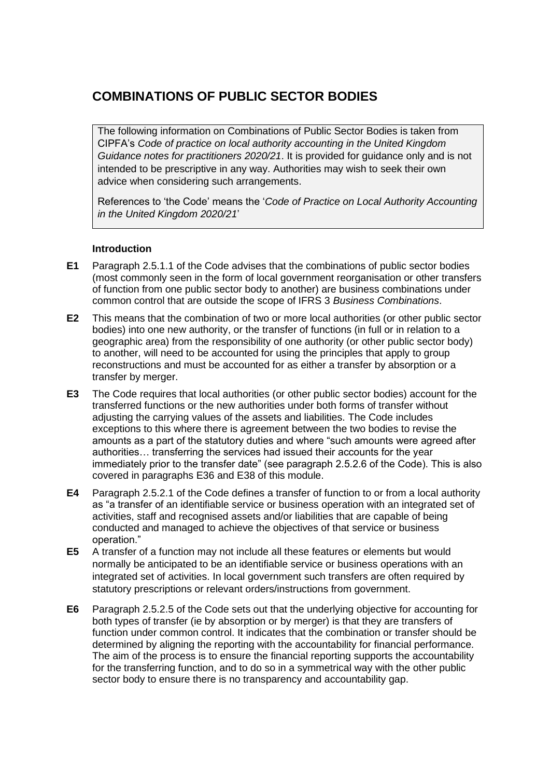# **COMBINATIONS OF PUBLIC SECTOR BODIES**

The following information on Combinations of Public Sector Bodies is taken from CIPFA's *Code of practice on local authority accounting in the United Kingdom Guidance notes for practitioners 2020/21*. It is provided for guidance only and is not intended to be prescriptive in any way. Authorities may wish to seek their own advice when considering such arrangements.

References to 'the Code' means the '*Code of Practice on Local Authority Accounting in the United Kingdom 2020/21*'

## **Introduction**

- **E1** Paragraph 2.5.1.1 of the Code advises that the combinations of public sector bodies (most commonly seen in the form of local government reorganisation or other transfers of function from one public sector body to another) are business combinations under common control that are outside the scope of IFRS 3 *Business Combinations*.
- **E2** This means that the combination of two or more local authorities (or other public sector bodies) into one new authority, or the transfer of functions (in full or in relation to a geographic area) from the responsibility of one authority (or other public sector body) to another, will need to be accounted for using the principles that apply to group reconstructions and must be accounted for as either a transfer by absorption or a transfer by merger.
- **E3** The Code requires that local authorities (or other public sector bodies) account for the transferred functions or the new authorities under both forms of transfer without adjusting the carrying values of the assets and liabilities. The Code includes exceptions to this where there is agreement between the two bodies to revise the amounts as a part of the statutory duties and where "such amounts were agreed after authorities… transferring the services had issued their accounts for the year immediately prior to the transfer date" (see paragraph 2.5.2.6 of the Code). This is also covered in paragraphs E36 and E38 of this module.
- **E4** Paragraph 2.5.2.1 of the Code defines a transfer of function to or from a local authority as "a transfer of an identifiable service or business operation with an integrated set of activities, staff and recognised assets and/or liabilities that are capable of being conducted and managed to achieve the objectives of that service or business operation."
- **E5** A transfer of a function may not include all these features or elements but would normally be anticipated to be an identifiable service or business operations with an integrated set of activities. In local government such transfers are often required by statutory prescriptions or relevant orders/instructions from government.
- **E6** Paragraph 2.5.2.5 of the Code sets out that the underlying objective for accounting for both types of transfer (ie by absorption or by merger) is that they are transfers of function under common control. It indicates that the combination or transfer should be determined by aligning the reporting with the accountability for financial performance. The aim of the process is to ensure the financial reporting supports the accountability for the transferring function, and to do so in a symmetrical way with the other public sector body to ensure there is no transparency and accountability gap.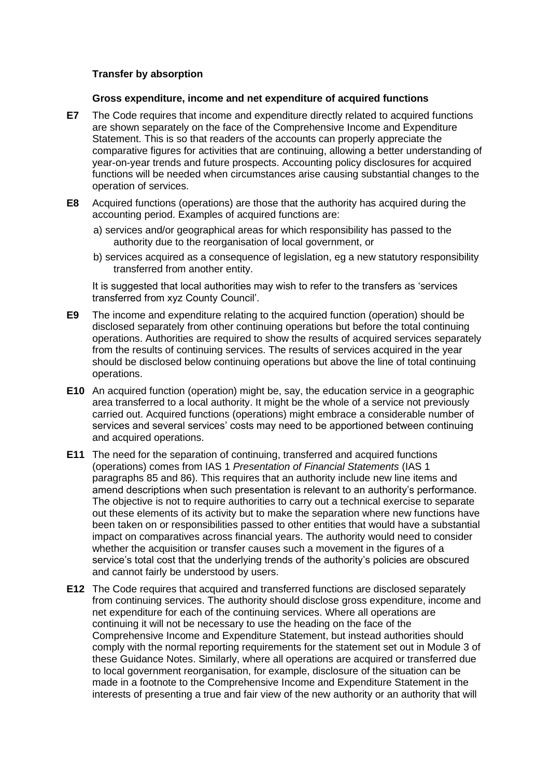### **Transfer by absorption**

### **Gross expenditure, income and net expenditure of acquired functions**

- **E7** The Code requires that income and expenditure directly related to acquired functions are shown separately on the face of the Comprehensive Income and Expenditure Statement. This is so that readers of the accounts can properly appreciate the comparative figures for activities that are continuing, allowing a better understanding of year-on-year trends and future prospects. Accounting policy disclosures for acquired functions will be needed when circumstances arise causing substantial changes to the operation of services.
- **E8** Acquired functions (operations) are those that the authority has acquired during the accounting period. Examples of acquired functions are:
	- a) services and/or geographical areas for which responsibility has passed to the authority due to the reorganisation of local government, or
	- b) services acquired as a consequence of legislation, eg a new statutory responsibility transferred from another entity.

It is suggested that local authorities may wish to refer to the transfers as 'services transferred from xyz County Council'.

- **E9** The income and expenditure relating to the acquired function (operation) should be disclosed separately from other continuing operations but before the total continuing operations. Authorities are required to show the results of acquired services separately from the results of continuing services. The results of services acquired in the year should be disclosed below continuing operations but above the line of total continuing operations.
- **E10** An acquired function (operation) might be, say, the education service in a geographic area transferred to a local authority. It might be the whole of a service not previously carried out. Acquired functions (operations) might embrace a considerable number of services and several services' costs may need to be apportioned between continuing and acquired operations.
- **E11** The need for the separation of continuing, transferred and acquired functions (operations) comes from IAS 1 *Presentation of Financial Statements* (IAS 1 paragraphs 85 and 86). This requires that an authority include new line items and amend descriptions when such presentation is relevant to an authority's performance. The objective is not to require authorities to carry out a technical exercise to separate out these elements of its activity but to make the separation where new functions have been taken on or responsibilities passed to other entities that would have a substantial impact on comparatives across financial years. The authority would need to consider whether the acquisition or transfer causes such a movement in the figures of a service's total cost that the underlying trends of the authority's policies are obscured and cannot fairly be understood by users.
- **E12** The Code requires that acquired and transferred functions are disclosed separately from continuing services. The authority should disclose gross expenditure, income and net expenditure for each of the continuing services. Where all operations are continuing it will not be necessary to use the heading on the face of the Comprehensive Income and Expenditure Statement, but instead authorities should comply with the normal reporting requirements for the statement set out in Module 3 of these Guidance Notes. Similarly, where all operations are acquired or transferred due to local government reorganisation, for example, disclosure of the situation can be made in a footnote to the Comprehensive Income and Expenditure Statement in the interests of presenting a true and fair view of the new authority or an authority that will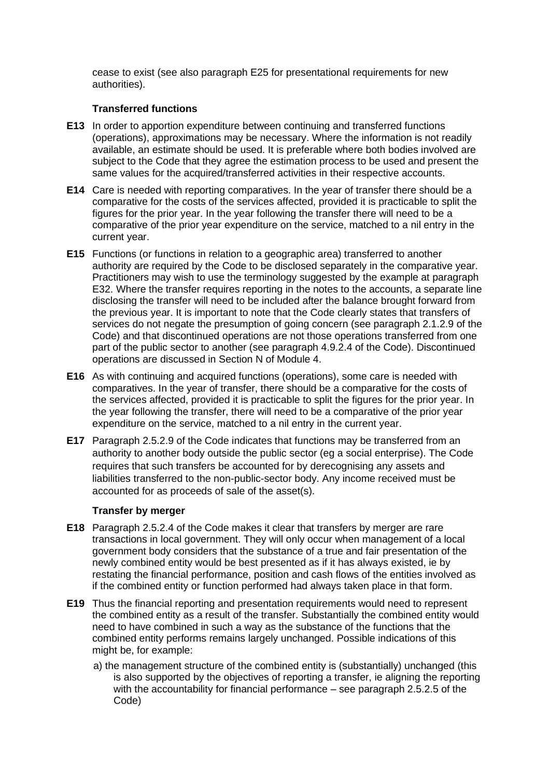cease to exist (see also paragraph E25 for presentational requirements for new authorities).

## **Transferred functions**

- **E13** In order to apportion expenditure between continuing and transferred functions (operations), approximations may be necessary. Where the information is not readily available, an estimate should be used. It is preferable where both bodies involved are subject to the Code that they agree the estimation process to be used and present the same values for the acquired/transferred activities in their respective accounts.
- **E14** Care is needed with reporting comparatives. In the year of transfer there should be a comparative for the costs of the services affected, provided it is practicable to split the figures for the prior year. In the year following the transfer there will need to be a comparative of the prior year expenditure on the service, matched to a nil entry in the current year.
- **E15** Functions (or functions in relation to a geographic area) transferred to another authority are required by the Code to be disclosed separately in the comparative year. Practitioners may wish to use the terminology suggested by the example at paragraph E32. Where the transfer requires reporting in the notes to the accounts, a separate line disclosing the transfer will need to be included after the balance brought forward from the previous year. It is important to note that the Code clearly states that transfers of services do not negate the presumption of going concern (see paragraph 2.1.2.9 of the Code) and that discontinued operations are not those operations transferred from one part of the public sector to another (see paragraph 4.9.2.4 of the Code). Discontinued operations are discussed in Section N of Module 4.
- **E16** As with continuing and acquired functions (operations), some care is needed with comparatives. In the year of transfer, there should be a comparative for the costs of the services affected, provided it is practicable to split the figures for the prior year. In the year following the transfer, there will need to be a comparative of the prior year expenditure on the service, matched to a nil entry in the current year.
- **E17** Paragraph 2.5.2.9 of the Code indicates that functions may be transferred from an authority to another body outside the public sector (eg a social enterprise). The Code requires that such transfers be accounted for by derecognising any assets and liabilities transferred to the non-public-sector body. Any income received must be accounted for as proceeds of sale of the asset(s).

## **Transfer by merger**

- **E18** Paragraph 2.5.2.4 of the Code makes it clear that transfers by merger are rare transactions in local government. They will only occur when management of a local government body considers that the substance of a true and fair presentation of the newly combined entity would be best presented as if it has always existed, ie by restating the financial performance, position and cash flows of the entities involved as if the combined entity or function performed had always taken place in that form.
- **E19** Thus the financial reporting and presentation requirements would need to represent the combined entity as a result of the transfer. Substantially the combined entity would need to have combined in such a way as the substance of the functions that the combined entity performs remains largely unchanged. Possible indications of this might be, for example:
	- a) the management structure of the combined entity is (substantially) unchanged (this is also supported by the objectives of reporting a transfer, ie aligning the reporting with the accountability for financial performance – see paragraph 2.5.2.5 of the Code)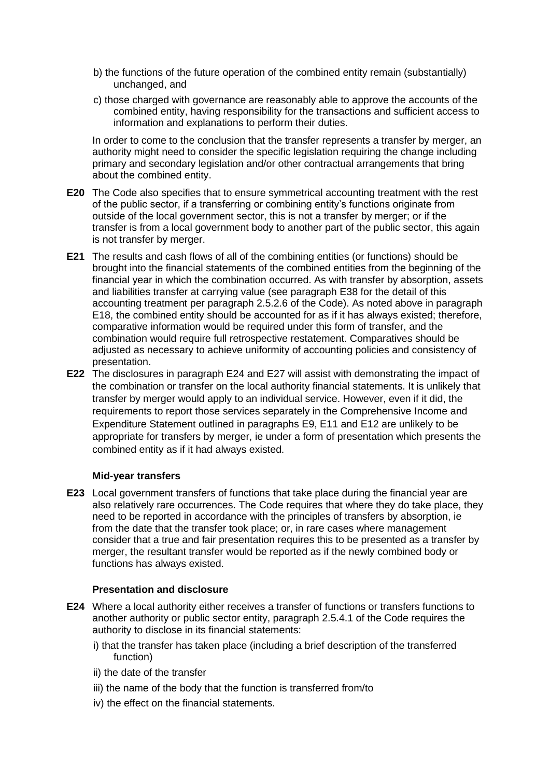- b) the functions of the future operation of the combined entity remain (substantially) unchanged, and
- c) those charged with governance are reasonably able to approve the accounts of the combined entity, having responsibility for the transactions and sufficient access to information and explanations to perform their duties.

In order to come to the conclusion that the transfer represents a transfer by merger, an authority might need to consider the specific legislation requiring the change including primary and secondary legislation and/or other contractual arrangements that bring about the combined entity.

- **E20** The Code also specifies that to ensure symmetrical accounting treatment with the rest of the public sector, if a transferring or combining entity's functions originate from outside of the local government sector, this is not a transfer by merger; or if the transfer is from a local government body to another part of the public sector, this again is not transfer by merger.
- **E21** The results and cash flows of all of the combining entities (or functions) should be brought into the financial statements of the combined entities from the beginning of the financial year in which the combination occurred. As with transfer by absorption, assets and liabilities transfer at carrying value (see paragraph E38 for the detail of this accounting treatment per paragraph 2.5.2.6 of the Code). As noted above in paragraph E18, the combined entity should be accounted for as if it has always existed; therefore, comparative information would be required under this form of transfer, and the combination would require full retrospective restatement. Comparatives should be adjusted as necessary to achieve uniformity of accounting policies and consistency of presentation.
- **E22** The disclosures in paragraph E24 and E27 will assist with demonstrating the impact of the combination or transfer on the local authority financial statements. It is unlikely that transfer by merger would apply to an individual service. However, even if it did, the requirements to report those services separately in the Comprehensive Income and Expenditure Statement outlined in paragraphs E9, E11 and E12 are unlikely to be appropriate for transfers by merger, ie under a form of presentation which presents the combined entity as if it had always existed.

### **Mid-year transfers**

**E23** Local government transfers of functions that take place during the financial year are also relatively rare occurrences. The Code requires that where they do take place, they need to be reported in accordance with the principles of transfers by absorption, ie from the date that the transfer took place; or, in rare cases where management consider that a true and fair presentation requires this to be presented as a transfer by merger, the resultant transfer would be reported as if the newly combined body or functions has always existed.

### **Presentation and disclosure**

- **E24** Where a local authority either receives a transfer of functions or transfers functions to another authority or public sector entity, paragraph 2.5.4.1 of the Code requires the authority to disclose in its financial statements:
	- i) that the transfer has taken place (including a brief description of the transferred function)
	- ii) the date of the transfer
	- iii) the name of the body that the function is transferred from/to
	- iv) the effect on the financial statements.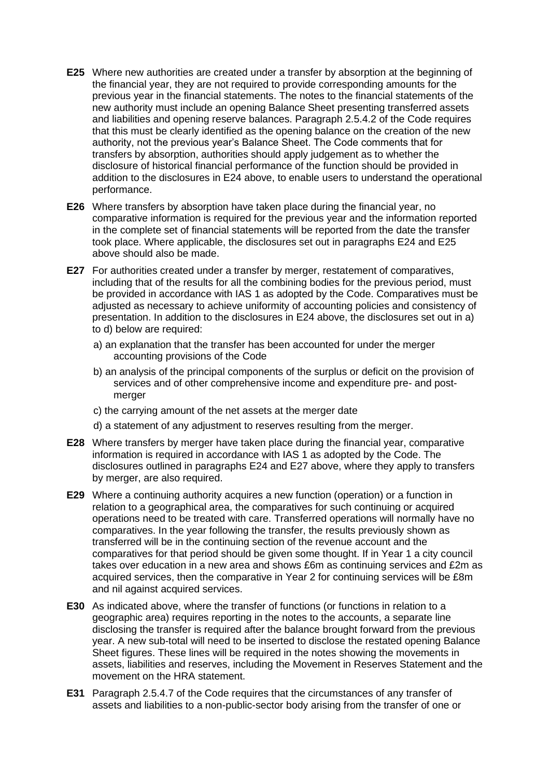- **E25** Where new authorities are created under a transfer by absorption at the beginning of the financial year, they are not required to provide corresponding amounts for the previous year in the financial statements. The notes to the financial statements of the new authority must include an opening Balance Sheet presenting transferred assets and liabilities and opening reserve balances. Paragraph 2.5.4.2 of the Code requires that this must be clearly identified as the opening balance on the creation of the new authority, not the previous year's Balance Sheet. The Code comments that for transfers by absorption, authorities should apply judgement as to whether the disclosure of historical financial performance of the function should be provided in addition to the disclosures in E24 above, to enable users to understand the operational performance.
- **E26** Where transfers by absorption have taken place during the financial year, no comparative information is required for the previous year and the information reported in the complete set of financial statements will be reported from the date the transfer took place. Where applicable, the disclosures set out in paragraphs E24 and E25 above should also be made.
- **E27** For authorities created under a transfer by merger, restatement of comparatives, including that of the results for all the combining bodies for the previous period, must be provided in accordance with IAS 1 as adopted by the Code. Comparatives must be adjusted as necessary to achieve uniformity of accounting policies and consistency of presentation. In addition to the disclosures in E24 above, the disclosures set out in a) to d) below are required:
	- a) an explanation that the transfer has been accounted for under the merger accounting provisions of the Code
	- b) an analysis of the principal components of the surplus or deficit on the provision of services and of other comprehensive income and expenditure pre- and postmerger
	- c) the carrying amount of the net assets at the merger date
	- d) a statement of any adjustment to reserves resulting from the merger.
- **E28** Where transfers by merger have taken place during the financial year, comparative information is required in accordance with IAS 1 as adopted by the Code. The disclosures outlined in paragraphs E24 and E27 above, where they apply to transfers by merger, are also required.
- **E29** Where a continuing authority acquires a new function (operation) or a function in relation to a geographical area, the comparatives for such continuing or acquired operations need to be treated with care. Transferred operations will normally have no comparatives. In the year following the transfer, the results previously shown as transferred will be in the continuing section of the revenue account and the comparatives for that period should be given some thought. If in Year 1 a city council takes over education in a new area and shows £6m as continuing services and £2m as acquired services, then the comparative in Year 2 for continuing services will be £8m and nil against acquired services.
- **E30** As indicated above, where the transfer of functions (or functions in relation to a geographic area) requires reporting in the notes to the accounts, a separate line disclosing the transfer is required after the balance brought forward from the previous year. A new sub-total will need to be inserted to disclose the restated opening Balance Sheet figures. These lines will be required in the notes showing the movements in assets, liabilities and reserves, including the Movement in Reserves Statement and the movement on the HRA statement.
- **E31** Paragraph 2.5.4.7 of the Code requires that the circumstances of any transfer of assets and liabilities to a non-public-sector body arising from the transfer of one or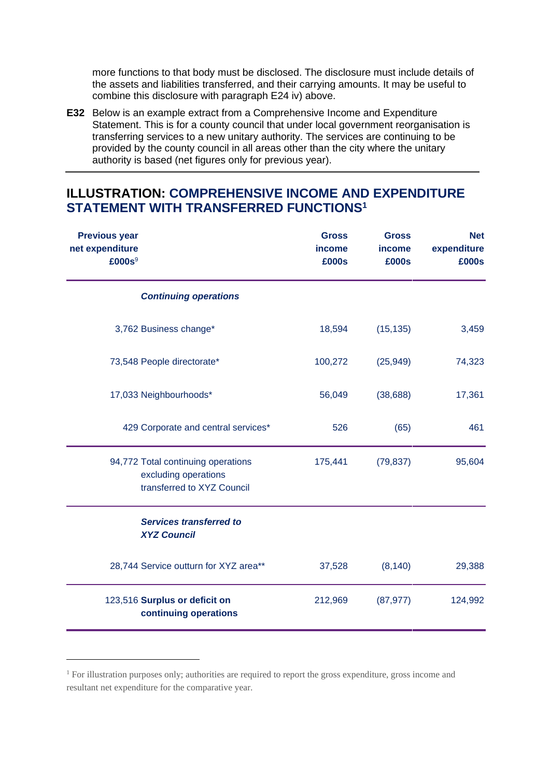more functions to that body must be disclosed. The disclosure must include details of the assets and liabilities transferred, and their carrying amounts. It may be useful to combine this disclosure with paragraph E24 iv) above.

**E32** Below is an example extract from a Comprehensive Income and Expenditure Statement. This is for a county council that under local government reorganisation is transferring services to a new unitary authority. The services are continuing to be provided by the county council in all areas other than the city where the unitary authority is based (net figures only for previous year).

## **ILLUSTRATION: COMPREHENSIVE INCOME AND EXPENDITURE STATEMENT WITH TRANSFERRED FUNCTIONS<sup>1</sup>**

| <b>Previous year</b><br>net expenditure<br>£000s <sup>9</sup> |                                                                                          | <b>Gross</b><br><i>income</i><br>£000s | <b>Gross</b><br>income<br>£000s | <b>Net</b><br>expenditure<br>£000s |
|---------------------------------------------------------------|------------------------------------------------------------------------------------------|----------------------------------------|---------------------------------|------------------------------------|
|                                                               | <b>Continuing operations</b>                                                             |                                        |                                 |                                    |
|                                                               | 3,762 Business change*                                                                   | 18,594                                 | (15, 135)                       | 3,459                              |
|                                                               | 73,548 People directorate*                                                               | 100,272                                | (25, 949)                       | 74,323                             |
|                                                               | 17,033 Neighbourhoods*                                                                   | 56,049                                 | (38, 688)                       | 17,361                             |
|                                                               | 429 Corporate and central services*                                                      | 526                                    | (65)                            | 461                                |
|                                                               | 94,772 Total continuing operations<br>excluding operations<br>transferred to XYZ Council | 175,441                                | (79, 837)                       | 95,604                             |
|                                                               | <b>Services transferred to</b><br><b>XYZ Council</b>                                     |                                        |                                 |                                    |
|                                                               | 28,744 Service outturn for XYZ area**                                                    | 37,528                                 | (8, 140)                        | 29,388                             |
|                                                               | 123,516 Surplus or deficit on<br>continuing operations                                   | 212,969                                | (87, 977)                       | 124,992                            |

<sup>&</sup>lt;sup>1</sup> For illustration purposes only; authorities are required to report the gross expenditure, gross income and resultant net expenditure for the comparative year.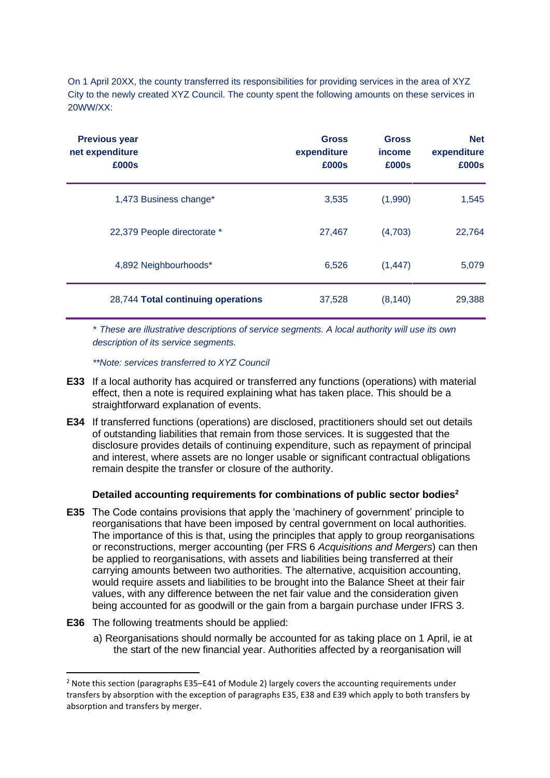On 1 April 20XX, the county transferred its responsibilities for providing services in the area of XYZ City to the newly created XYZ Council. The county spent the following amounts on these services in 20WW/XX:

| <b>Previous year</b><br>net expenditure<br>£000s |                                    | <b>Gross</b><br>expenditure<br>£000s | <b>Gross</b><br><i>income</i><br>£000s | <b>Net</b><br>expenditure<br>£000s |
|--------------------------------------------------|------------------------------------|--------------------------------------|----------------------------------------|------------------------------------|
| 1,473 Business change*                           |                                    | 3,535                                | (1,990)                                | 1,545                              |
| 22,379 People directorate *                      |                                    | 27,467                               | (4,703)                                | 22,764                             |
| 4,892 Neighbourhoods*                            |                                    | 6,526                                | (1, 447)                               | 5,079                              |
|                                                  | 28,744 Total continuing operations | 37,528                               | (8, 140)                               | 29,388                             |

*\* These are illustrative descriptions of service segments. A local authority will use its own description of its service segments.*

*\*\*Note: services transferred to XYZ Council*

- **E33** If a local authority has acquired or transferred any functions (operations) with material effect, then a note is required explaining what has taken place. This should be a straightforward explanation of events.
- **E34** If transferred functions (operations) are disclosed, practitioners should set out details of outstanding liabilities that remain from those services. It is suggested that the disclosure provides details of continuing expenditure, such as repayment of principal and interest, where assets are no longer usable or significant contractual obligations remain despite the transfer or closure of the authority.

## **Detailed accounting requirements for combinations of public sector bodies<sup>2</sup>**

- **E35** The Code contains provisions that apply the 'machinery of government' principle to reorganisations that have been imposed by central government on local authorities. The importance of this is that, using the principles that apply to group reorganisations or reconstructions, merger accounting (per FRS 6 *Acquisitions and Mergers*) can then be applied to reorganisations, with assets and liabilities being transferred at their carrying amounts between two authorities. The alternative, acquisition accounting, would require assets and liabilities to be brought into the Balance Sheet at their fair values, with any difference between the net fair value and the consideration given being accounted for as goodwill or the gain from a bargain purchase under IFRS 3.
- **E36** The following treatments should be applied:
	- a) Reorganisations should normally be accounted for as taking place on 1 April, ie at the start of the new financial year. Authorities affected by a reorganisation will

 $<sup>2</sup>$  Note this section (paragraphs E35–E41 of Module 2) largely covers the accounting requirements under</sup> transfers by absorption with the exception of paragraphs E35, E38 and E39 which apply to both transfers by absorption and transfers by merger.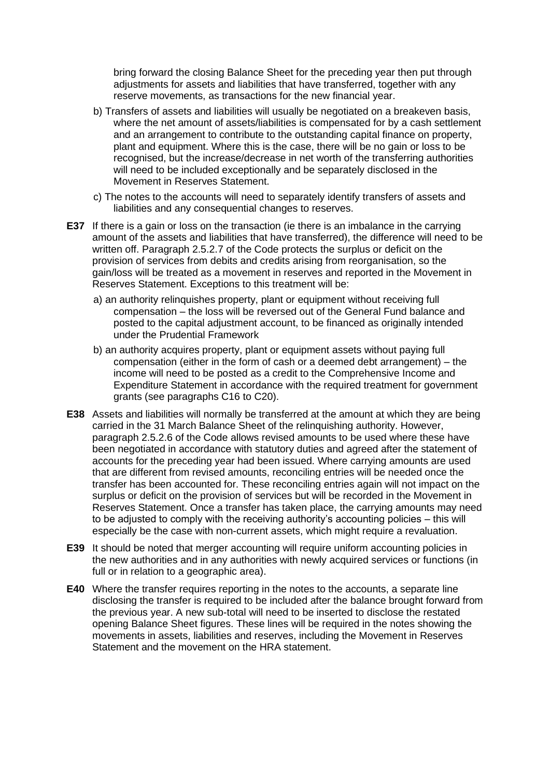bring forward the closing Balance Sheet for the preceding year then put through adjustments for assets and liabilities that have transferred, together with any reserve movements, as transactions for the new financial year.

- b) Transfers of assets and liabilities will usually be negotiated on a breakeven basis, where the net amount of assets/liabilities is compensated for by a cash settlement and an arrangement to contribute to the outstanding capital finance on property, plant and equipment. Where this is the case, there will be no gain or loss to be recognised, but the increase/decrease in net worth of the transferring authorities will need to be included exceptionally and be separately disclosed in the Movement in Reserves Statement.
- c) The notes to the accounts will need to separately identify transfers of assets and liabilities and any consequential changes to reserves.
- **E37** If there is a gain or loss on the transaction (ie there is an imbalance in the carrying amount of the assets and liabilities that have transferred), the difference will need to be written off. Paragraph 2.5.2.7 of the Code protects the surplus or deficit on the provision of services from debits and credits arising from reorganisation, so the gain/loss will be treated as a movement in reserves and reported in the Movement in Reserves Statement. Exceptions to this treatment will be:
	- a) an authority relinquishes property, plant or equipment without receiving full compensation – the loss will be reversed out of the General Fund balance and posted to the capital adjustment account, to be financed as originally intended under the Prudential Framework
	- b) an authority acquires property, plant or equipment assets without paying full compensation (either in the form of cash or a deemed debt arrangement) – the income will need to be posted as a credit to the Comprehensive Income and Expenditure Statement in accordance with the required treatment for government grants (see paragraphs C16 to C20).
- **E38** Assets and liabilities will normally be transferred at the amount at which they are being carried in the 31 March Balance Sheet of the relinquishing authority. However, paragraph 2.5.2.6 of the Code allows revised amounts to be used where these have been negotiated in accordance with statutory duties and agreed after the statement of accounts for the preceding year had been issued. Where carrying amounts are used that are different from revised amounts, reconciling entries will be needed once the transfer has been accounted for. These reconciling entries again will not impact on the surplus or deficit on the provision of services but will be recorded in the Movement in Reserves Statement. Once a transfer has taken place, the carrying amounts may need to be adjusted to comply with the receiving authority's accounting policies – this will especially be the case with non-current assets, which might require a revaluation.
- **E39** It should be noted that merger accounting will require uniform accounting policies in the new authorities and in any authorities with newly acquired services or functions (in full or in relation to a geographic area).
- **E40** Where the transfer requires reporting in the notes to the accounts, a separate line disclosing the transfer is required to be included after the balance brought forward from the previous year. A new sub-total will need to be inserted to disclose the restated opening Balance Sheet figures. These lines will be required in the notes showing the movements in assets, liabilities and reserves, including the Movement in Reserves Statement and the movement on the HRA statement.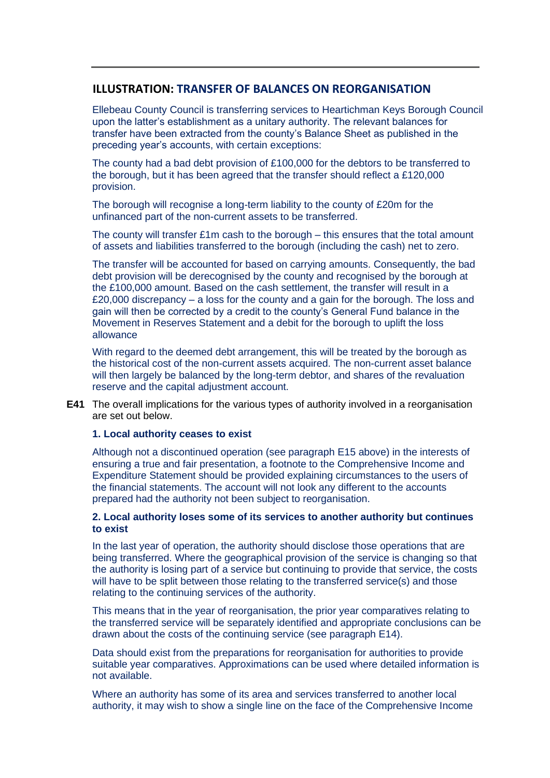## **ILLUSTRATION: TRANSFER OF BALANCES ON REORGANISATION**

Ellebeau County Council is transferring services to Heartichman Keys Borough Council upon the latter's establishment as a unitary authority. The relevant balances for transfer have been extracted from the county's Balance Sheet as published in the preceding year's accounts, with certain exceptions:

The county had a bad debt provision of £100,000 for the debtors to be transferred to the borough, but it has been agreed that the transfer should reflect a £120,000 provision.

The borough will recognise a long-term liability to the county of £20m for the unfinanced part of the non-current assets to be transferred.

The county will transfer  $£1m$  cash to the borough – this ensures that the total amount of assets and liabilities transferred to the borough (including the cash) net to zero.

The transfer will be accounted for based on carrying amounts. Consequently, the bad debt provision will be derecognised by the county and recognised by the borough at the £100,000 amount. Based on the cash settlement, the transfer will result in a £20,000 discrepancy – a loss for the county and a gain for the borough. The loss and gain will then be corrected by a credit to the county's General Fund balance in the Movement in Reserves Statement and a debit for the borough to uplift the loss allowance

With regard to the deemed debt arrangement, this will be treated by the borough as the historical cost of the non-current assets acquired. The non-current asset balance will then largely be balanced by the long-term debtor, and shares of the revaluation reserve and the capital adjustment account.

**E41** The overall implications for the various types of authority involved in a reorganisation are set out below.

### **1. Local authority ceases to exist**

Although not a discontinued operation (see paragraph E15 above) in the interests of ensuring a true and fair presentation, a footnote to the Comprehensive Income and Expenditure Statement should be provided explaining circumstances to the users of the financial statements. The account will not look any different to the accounts prepared had the authority not been subject to reorganisation.

### **2. Local authority loses some of its services to another authority but continues to exist**

In the last year of operation, the authority should disclose those operations that are being transferred. Where the geographical provision of the service is changing so that the authority is losing part of a service but continuing to provide that service, the costs will have to be split between those relating to the transferred service(s) and those relating to the continuing services of the authority.

This means that in the year of reorganisation, the prior year comparatives relating to the transferred service will be separately identified and appropriate conclusions can be drawn about the costs of the continuing service (see paragraph E14).

Data should exist from the preparations for reorganisation for authorities to provide suitable year comparatives. Approximations can be used where detailed information is not available.

Where an authority has some of its area and services transferred to another local authority, it may wish to show a single line on the face of the Comprehensive Income